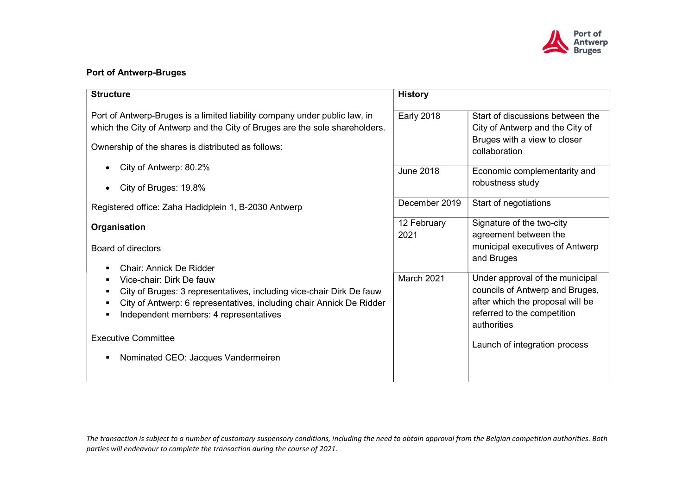

## Port of Antwerp-Bruges

| <b>Structure</b>                                                                                                                                                                                                   | <b>History</b>      |                                                                                                                                                      |
|--------------------------------------------------------------------------------------------------------------------------------------------------------------------------------------------------------------------|---------------------|------------------------------------------------------------------------------------------------------------------------------------------------------|
| Port of Antwerp-Bruges is a limited liability company under public law, in<br>which the City of Antwerp and the City of Bruges are the sole shareholders.                                                          | <b>Early 2018</b>   | Start of discussions between the<br>City of Antwerp and the City of<br>Bruges with a view to closer                                                  |
| Ownership of the shares is distributed as follows:                                                                                                                                                                 |                     | collaboration                                                                                                                                        |
| City of Antwerp: 80.2%                                                                                                                                                                                             | <b>June 2018</b>    | Economic complementarity and<br>robustness study                                                                                                     |
| City of Bruges: 19.8%                                                                                                                                                                                              |                     |                                                                                                                                                      |
| Registered office: Zaha Hadidplein 1, B-2030 Antwerp                                                                                                                                                               | December 2019       | Start of negotiations                                                                                                                                |
| Organisation                                                                                                                                                                                                       | 12 February<br>2021 | Signature of the two-city<br>agreement between the                                                                                                   |
| <b>Board of directors</b>                                                                                                                                                                                          |                     | municipal executives of Antwerp<br>and Bruges                                                                                                        |
| Chair: Annick De Ridder                                                                                                                                                                                            |                     |                                                                                                                                                      |
| Vice-chair: Dirk De fauw<br>City of Bruges: 3 representatives, including vice-chair Dirk De fauw<br>City of Antwerp: 6 representatives, including chair Annick De Ridder<br>Independent members: 4 representatives | March 2021          | Under approval of the municipal<br>councils of Antwerp and Bruges,<br>after which the proposal will be<br>referred to the competition<br>authorities |
| <b>Executive Committee</b>                                                                                                                                                                                         |                     | Launch of integration process                                                                                                                        |
| Nominated CEO: Jacques Vandermeiren                                                                                                                                                                                |                     |                                                                                                                                                      |
|                                                                                                                                                                                                                    |                     |                                                                                                                                                      |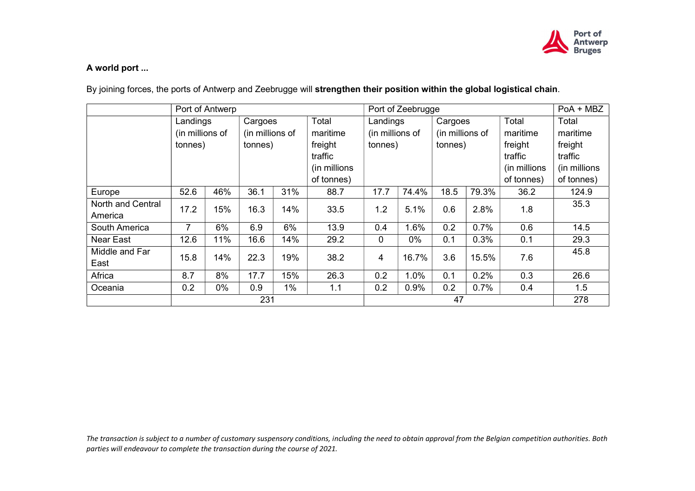

## A world port ...

By joining forces, the ports of Antwerp and Zeebrugge will strengthen their position within the global logistical chain.

|                   | Port of Antwerp             |     |                            |       | Port of Zeebrugge |                             |         |                            | PoA + MBZ |                   |              |
|-------------------|-----------------------------|-----|----------------------------|-------|-------------------|-----------------------------|---------|----------------------------|-----------|-------------------|--------------|
|                   | Landings<br>(in millions of |     | Cargoes<br>(in millions of |       | Total<br>maritime | Landings<br>(in millions of |         | Cargoes<br>(in millions of |           | Total<br>maritime | Total        |
|                   |                             |     |                            |       |                   |                             |         |                            |           |                   | maritime     |
|                   | tonnes)                     |     | tonnes)                    |       | freight           | tonnes)                     |         | tonnes)                    |           | freight           | freight      |
|                   |                             |     |                            |       | traffic           |                             |         |                            |           | traffic           | traffic      |
|                   |                             |     |                            |       | (in millions      |                             |         |                            |           | (in millions)     | (in millions |
|                   |                             |     |                            |       | of tonnes)        |                             |         |                            |           | of tonnes)        | of tonnes)   |
| Europe            | 52.6                        | 46% | 36.1                       | 31%   | 88.7              | 17.7                        | 74.4%   | 18.5                       | 79.3%     | 36.2              | 124.9        |
| North and Central |                             | 15% |                            | 14%   |                   |                             | 5.1%    |                            | 2.8%      |                   | 35.3         |
| America           | 17.2                        |     | 16.3                       |       | 33.5              | 1.2                         |         | 0.6                        |           | 1.8               |              |
| South America     |                             | 6%  | 6.9                        | 6%    | 13.9              | 0.4                         | 1.6%    | 0.2                        | 0.7%      | 0.6               | 14.5         |
| Near East         | 12.6                        | 11% | 16.6                       | 14%   | 29.2              | $\mathbf 0$                 | 0%      | 0.1                        | 0.3%      | 0.1               | 29.3         |
| Middle and Far    | 15.8                        | 14% | 22.3                       | 19%   | 38.2              | $\overline{4}$              | 16.7%   | 3.6                        | 15.5%     | 7.6               | 45.8         |
| East              |                             |     |                            |       |                   |                             |         |                            |           |                   |              |
| Africa            | 8.7                         | 8%  | 17.7                       | 15%   | 26.3              | 0.2                         | $1.0\%$ | 0.1                        | 0.2%      | 0.3               | 26.6         |
| Oceania           | 0.2                         | 0%  | 0.9                        | $1\%$ | 1.1               | 0.2                         | 0.9%    | 0.2                        | 0.7%      | 0.4               | 1.5          |
|                   | 231                         |     |                            |       |                   | 47                          |         |                            |           | 278               |              |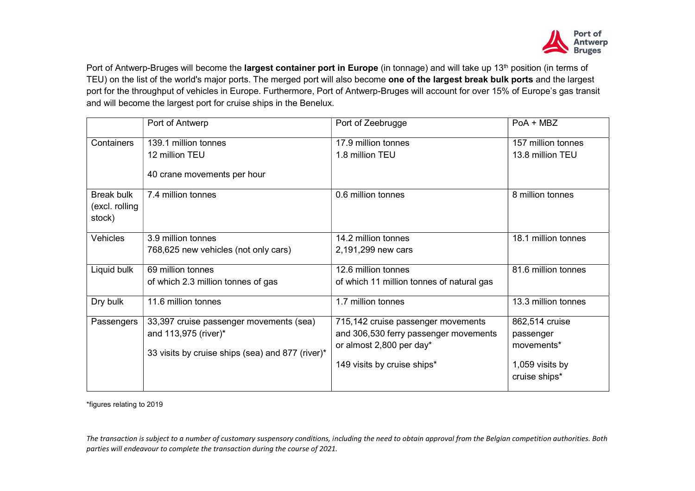

Port of Antwerp-Bruges will become the largest container port in Europe (in tonnage) and will take up 13<sup>th</sup> position (in terms of TEU) on the list of the world's major ports. The merged port will also become one of the largest break bulk ports and the largest port for the throughput of vehicles in Europe. Furthermore, Port of Antwerp-Bruges will account for over 15% of Europe's gas transit and will become the largest port for cruise ships in the Benelux.

|                                               | Port of Antwerp                                                                                                     | Port of Zeebrugge                                                                                       | $PoA + MBZ$                               |
|-----------------------------------------------|---------------------------------------------------------------------------------------------------------------------|---------------------------------------------------------------------------------------------------------|-------------------------------------------|
| Containers                                    | 139.1 million tonnes                                                                                                | 17.9 million tonnes                                                                                     | 157 million tonnes                        |
|                                               | 12 million TEU                                                                                                      | 1.8 million TEU                                                                                         | 13.8 million TEU                          |
|                                               | 40 crane movements per hour                                                                                         |                                                                                                         |                                           |
| <b>Break bulk</b><br>(excl. rolling<br>stock) | 7.4 million tonnes                                                                                                  | 0.6 million tonnes                                                                                      | 8 million tonnes                          |
| Vehicles                                      | 3.9 million tonnes                                                                                                  | 14.2 million tonnes                                                                                     | 18.1 million tonnes                       |
|                                               | 768,625 new vehicles (not only cars)                                                                                | 2,191,299 new cars                                                                                      |                                           |
| Liquid bulk                                   | 69 million tonnes                                                                                                   | 12.6 million tonnes                                                                                     | 81.6 million tonnes                       |
|                                               | of which 2.3 million tonnes of gas                                                                                  | of which 11 million tonnes of natural gas                                                               |                                           |
| Dry bulk                                      | 11.6 million tonnes                                                                                                 | 1.7 million tonnes                                                                                      | 13.3 million tonnes                       |
| Passengers                                    | 33,397 cruise passenger movements (sea)<br>and 113,975 (river)*<br>33 visits by cruise ships (sea) and 877 (river)* | 715,142 cruise passenger movements<br>and 306,530 ferry passenger movements<br>or almost 2,800 per day* | 862,514 cruise<br>passenger<br>movements* |
|                                               |                                                                                                                     | 149 visits by cruise ships*                                                                             | 1,059 visits by<br>cruise ships*          |

\*figures relating to 2019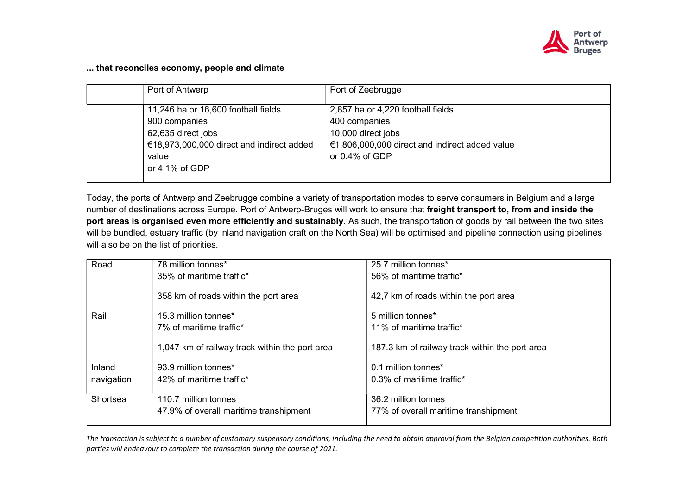

## ... that reconciles economy, people and climate

| Port of Antwerp                           | Port of Zeebrugge                              |
|-------------------------------------------|------------------------------------------------|
| 11,246 ha or 16,600 football fields       | 2,857 ha or 4,220 football fields              |
| 900 companies                             | 400 companies                                  |
| 62,635 direct jobs                        | 10,000 direct jobs                             |
| €18,973,000,000 direct and indirect added | €1,806,000,000 direct and indirect added value |
| value                                     | or $0.4\%$ of GDP                              |
| or $4.1\%$ of GDP                         |                                                |
|                                           |                                                |

Today, the ports of Antwerp and Zeebrugge combine a variety of transportation modes to serve consumers in Belgium and a large number of destinations across Europe. Port of Antwerp-Bruges will work to ensure that freight transport to, from and inside the port areas is organised even more efficiently and sustainably. As such, the transportation of goods by rail between the two sites will be bundled, estuary traffic (by inland navigation craft on the North Sea) will be optimised and pipeline connection using pipelines will also be on the list of priorities.

| Road       | 78 million tonnes*                             | 25.7 million tonnes*                           |
|------------|------------------------------------------------|------------------------------------------------|
|            | 35% of maritime traffic*                       | 56% of maritime traffic*                       |
|            | 358 km of roads within the port area           | 42,7 km of roads within the port area          |
| Rail       | 15.3 million tonnes*                           | 5 million tonnes*                              |
|            | 7% of maritime traffic*                        | 11% of maritime traffic*                       |
|            | 1,047 km of railway track within the port area | 187.3 km of railway track within the port area |
| Inland     | 93.9 million tonnes*                           | 0.1 million tonnes*                            |
| navigation | 42% of maritime traffic*                       | 0.3% of maritime traffic*                      |
|            |                                                |                                                |
| Shortsea   | 110.7 million tonnes                           | 36.2 million tonnes                            |
|            | 47.9% of overall maritime transhipment         | 77% of overall maritime transhipment           |
|            |                                                |                                                |